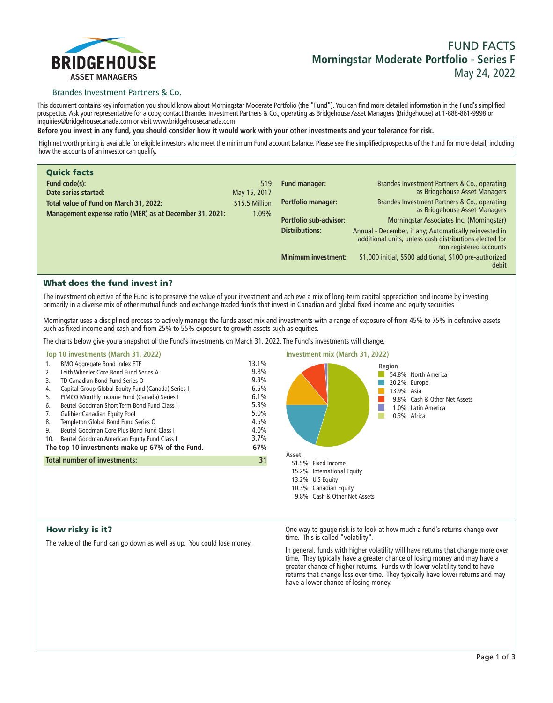

# **FUND FACTS Morningstar Moderate Portfolio - Series F May 24, 2022**

# Brandes Investment Partners & Co.

**This document contains key information you should know about Morningstar Moderate Portfolio (the "Fund"). You can find more detailed information in the Fund's simplified prospectus. Ask your representative for a copy, contact Brandes Investment Partners & Co., operating as Bridgehouse Asset Managers (Bridgehouse) at 1-888-861-9998 or inquiries@bridgehousecanada.com or visit www.bridgehousecanada.com**

**Before you invest in any fund, you should consider how it would work with your other investments and your tolerance for risk.**

**High net worth pricing is available for eligible investors who meet the minimum Fund account balance. Please see the simplified prospectus of the Fund for more detail, including how the accounts of an investor can qualify.**

| <b>Quick facts</b>                                      |                |                            |                                                                                                                                              |
|---------------------------------------------------------|----------------|----------------------------|----------------------------------------------------------------------------------------------------------------------------------------------|
| Fund code(s):                                           | 519            | Fund manager:              | Brandes Investment Partners & Co., operating                                                                                                 |
| Date series started:                                    | May 15, 2017   |                            | as Bridgehouse Asset Managers                                                                                                                |
| Total value of Fund on March 31, 2022:                  | \$15.5 Million | Portfolio manager:         | Brandes Investment Partners & Co., operating<br>as Bridgehouse Asset Managers                                                                |
| Management expense ratio (MER) as at December 31, 2021: | 1.09%          | Portfolio sub-advisor:     |                                                                                                                                              |
|                                                         |                |                            | Morningstar Associates Inc. (Morningstar)                                                                                                    |
|                                                         |                | <b>Distributions:</b>      | Annual - December, if any; Automatically reinvested in<br>additional units, unless cash distributions elected for<br>non-registered accounts |
|                                                         |                | <b>Minimum investment:</b> | \$1,000 initial, \$500 additional, \$100 pre-authorized<br>debit                                                                             |

# What does the fund invest in?

**The investment objective of the Fund is to preserve the value of your investment and achieve a mix of long-term capital appreciation and income by investing primarily in a diverse mix of other mutual funds and exchange traded funds that invest in Canadian and global fixed-income and equity securities**

**Morningstar uses a disciplined process to actively manage the funds asset mix and investments with a range of exposure of from 45% to 75% in defensive assets such as fixed income and cash and from 25% to 55% exposure to growth assets such as equities.**

**The charts below give you a snapshot of the Fund's investments on March 31, 2022. The Fund's investments will change.**

## **Top 10 investments (March 31, 2022)**

| 1.                                  | <b>BMO Aggregate Bond Index ETF</b>                | 13.1% |
|-------------------------------------|----------------------------------------------------|-------|
| 2.                                  | Leith Wheeler Core Bond Fund Series A              | 9.8%  |
| 3.                                  | TD Canadian Bond Fund Series O                     | 9.3%  |
| 4.                                  | Capital Group Global Equity Fund (Canada) Series I | 6.5%  |
| 5.                                  | PIMCO Monthly Income Fund (Canada) Series I        | 6.1%  |
| 6.                                  | Beutel Goodman Short Term Bond Fund Class I        | 5.3%  |
| 7.                                  | Galibier Canadian Equity Pool                      | 5.0%  |
| 8.                                  | Templeton Global Bond Fund Series O                | 4.5%  |
| 9.                                  | Beutel Goodman Core Plus Bond Fund Class L         | 4.0%  |
| 10.                                 | Beutel Goodman American Equity Fund Class I        | 3.7%  |
|                                     | The top 10 investments make up 67% of the Fund.    | 67%   |
| <b>Total number of investments:</b> |                                                    | 31    |
|                                     |                                                    |       |



# How risky is it?

**The value of the Fund can go down as well as up. You could lose money.**

**One way to gauge risk is to look at how much a fund's returns change over time. This is called "volatility".**

**In general, funds with higher volatility will have returns that change more over time. They typically have a greater chance of losing money and may have a greater chance of higher returns. Funds with lower volatility tend to have returns that change less over time. They typically have lower returns and may have a lower chance of losing money.**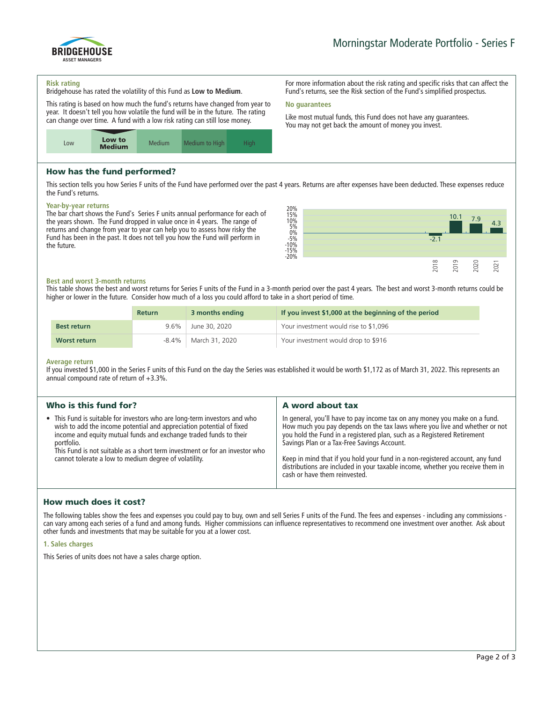

#### **Risk rating**

**Bridgehouse has rated the volatility of this Fund as Low to Medium.**

**This rating is based on how much the fund's returns have changed from year to year. It doesn't tell you how volatile the fund will be in the future. The rating can change over time. A fund with a low risk rating can still lose money.**



# How has the fund performed?

**This section tells you how Series F units of the Fund have performed over the past 4 years. Returns are after expenses have been deducted. These expenses reduce the Fund's returns.**

**No guarantees**

## **Year-by-year returns**

**The bar chart shows the Fund's Series F units annual performance for each of the years shown. The Fund dropped in value once in 4 years. The range of returns and change from year to year can help you to assess how risky the Fund has been in the past. It does not tell you how the Fund will perform in the future.**



**For more information about the risk rating and specific risks that can affect the Fund's returns, see the Risk section of the Fund's simplified prospectus.**

**Like most mutual funds, this Fund does not have any guarantees. You may not get back the amount of money you invest.**

## **Best and worst 3-month returns**

**This table shows the best and worst returns for Series F units of the Fund in a 3-month period over the past 4 years. The best and worst 3-month returns could be higher or lower in the future. Consider how much of a loss you could afford to take in a short period of time.**

|                    | <b>Return</b> | 3 months ending | If you invest \$1,000 at the beginning of the period |
|--------------------|---------------|-----------------|------------------------------------------------------|
| <b>Best return</b> | $9.6\%$       | June 30, 2020   | Your investment would rise to \$1,096                |
| Worst return       | -8.4%         | March 31, 2020  | Your investment would drop to \$916                  |

#### **Average return**

**If you invested \$1,000 in the Series F units of this Fund on the day the Series was established it would be worth \$1,172 as of March 31, 2022. This represents an annual compound rate of return of +3.3%.**

| Who is this fund for?                                                                                                                                                                                                                                                                                                                                                        | A word about tax                                                                                                                                                                                                                                                                                                                                                    |
|------------------------------------------------------------------------------------------------------------------------------------------------------------------------------------------------------------------------------------------------------------------------------------------------------------------------------------------------------------------------------|---------------------------------------------------------------------------------------------------------------------------------------------------------------------------------------------------------------------------------------------------------------------------------------------------------------------------------------------------------------------|
| • This Fund is suitable for investors who are long-term investors and who<br>wish to add the income potential and appreciation potential of fixed<br>income and equity mutual funds and exchange traded funds to their<br>portfolio.<br>This Fund is not suitable as a short term investment or for an investor who<br>cannot tolerate a low to medium degree of volatility. | In general, you'll have to pay income tax on any money you make on a fund.<br>How much you pay depends on the tax laws where you live and whether or not<br>you hold the Fund in a registered plan, such as a Registered Retirement<br>Savings Plan or a Tax-Free Savings Account.<br>Keep in mind that if you hold your fund in a non-registered account, any fund |
|                                                                                                                                                                                                                                                                                                                                                                              | distributions are included in your taxable income, whether you receive them in<br>cash or have them reinvested.                                                                                                                                                                                                                                                     |

# How much does it cost?

**The following tables show the fees and expenses you could pay to buy, own and sell Series F units of the Fund. The fees and expenses - including any commissions can vary among each series of a fund and among funds. Higher commissions can influence representatives to recommend one investment over another. Ask about other funds and investments that may be suitable for you at a lower cost.**

## **1. Sales charges**

**This Series of units does not have a sales charge option.**